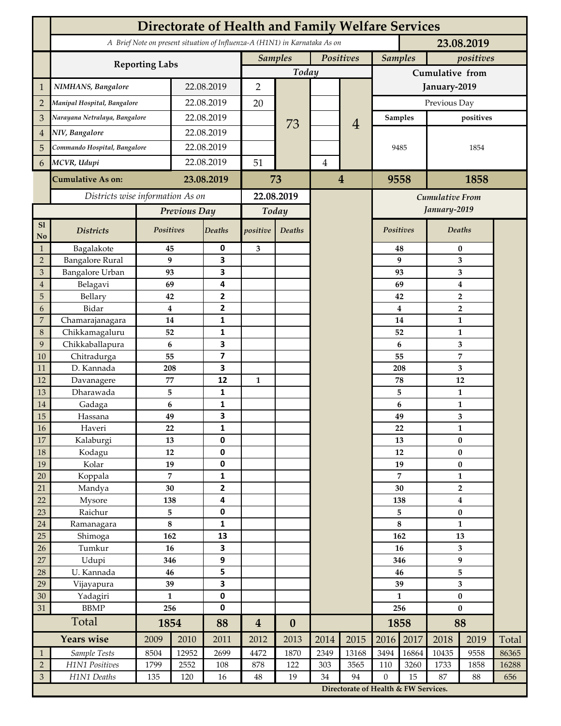|                             | <b>Directorate of Health and Family Welfare Services</b>                                 |                               |                |                          |                         |                             |      |                                      |                             |                         |                                    |                |       |  |
|-----------------------------|------------------------------------------------------------------------------------------|-------------------------------|----------------|--------------------------|-------------------------|-----------------------------|------|--------------------------------------|-----------------------------|-------------------------|------------------------------------|----------------|-------|--|
|                             | A Brief Note on present situation of Influenza-A (H1N1) in Karnataka As on<br>23.08.2019 |                               |                |                          |                         |                             |      |                                      |                             |                         |                                    |                |       |  |
|                             |                                                                                          | Positives<br><b>Samples</b>   |                |                          |                         | <b>Samples</b><br>positives |      |                                      |                             |                         |                                    |                |       |  |
|                             | <b>Reporting Labs</b>                                                                    | Today                         |                |                          |                         | Cumulative from             |      |                                      |                             |                         |                                    |                |       |  |
| $\mathbf 1$                 | NIMHANS, Bangalore                                                                       | 22.08.2019                    |                | $\overline{2}$           |                         |                             |      | January-2019                         |                             |                         |                                    |                |       |  |
| $\overline{2}$              | Manipal Hospital, Bangalore                                                              |                               |                | 22.08.2019               |                         |                             |      |                                      | Previous Day                |                         |                                    |                |       |  |
| 3                           |                                                                                          | Narayana Netralaya, Bangalore |                | 22.08.2019               |                         |                             |      |                                      | <b>Samples</b><br>positives |                         |                                    |                |       |  |
| 4                           | NIV, Bangalore                                                                           |                               |                | 22.08.2019               |                         | 73                          |      | $\overline{4}$                       |                             |                         |                                    |                |       |  |
| 5                           | Commando Hospital, Bangalore                                                             |                               | 22.08.2019     |                          |                         |                             |      |                                      | 9485                        |                         | 1854                               |                |       |  |
|                             | MCVR, Udupi                                                                              |                               | 22.08.2019     |                          | 51                      |                             |      |                                      |                             |                         |                                    |                |       |  |
| 6                           |                                                                                          |                               |                |                          |                         | $\overline{4}$              |      |                                      |                             |                         |                                    |                |       |  |
|                             | <b>Cumulative As on:</b>                                                                 | 23.08.2019                    |                | 73                       |                         | $\overline{4}$              |      | 1858<br>9558                         |                             |                         |                                    |                |       |  |
|                             | Districts wise information As on                                                         |                               |                | 22.08.2019               |                         |                             |      | Cumulative From                      |                             |                         |                                    |                |       |  |
|                             |                                                                                          | Previous Day                  |                | Today                    |                         |                             |      |                                      |                             |                         | January-2019                       |                |       |  |
| S1<br>N <sub>o</sub>        | <b>Districts</b>                                                                         | Positives                     |                | <b>Deaths</b>            | positive                | Deaths                      |      |                                      | <b>Positives</b>            |                         | <b>Deaths</b>                      |                |       |  |
| $\mathbf{1}$                | Bagalakote                                                                               | 45                            |                | 0                        | 3                       |                             |      |                                      |                             | 48                      | $\bf{0}$                           |                |       |  |
| $\mathbf 2$                 | <b>Bangalore Rural</b>                                                                   | 9                             |                | $\overline{\mathbf{3}}$  |                         |                             |      |                                      |                             | 9                       | 3                                  |                |       |  |
| $\ensuremath{\mathfrak{Z}}$ | <b>Bangalore Urban</b>                                                                   | 93                            |                | 3<br>4                   |                         |                             |      |                                      |                             | 93                      | 3                                  |                |       |  |
| 4<br>5                      | Belagavi<br>Bellary                                                                      | 69<br>42                      |                | $\overline{2}$           |                         |                             |      |                                      |                             | 69<br>42                | 4<br>$\overline{2}$                |                |       |  |
| 6                           | Bidar                                                                                    | $\boldsymbol{4}$              |                | $\overline{2}$           |                         |                             |      |                                      |                             | $\overline{\mathbf{4}}$ |                                    | $\overline{2}$ |       |  |
| 7                           | Chamarajanagara                                                                          | 14                            |                | $\mathbf{1}$             |                         |                             |      |                                      |                             | 14                      | $\mathbf{1}$                       |                |       |  |
| $\,8\,$                     | Chikkamagaluru                                                                           | 52                            |                | 1                        |                         |                             |      |                                      |                             | 52                      |                                    | 1              |       |  |
| 9                           | Chikkaballapura                                                                          | 6                             |                | $\overline{\mathbf{3}}$  |                         |                             |      |                                      |                             | 6                       |                                    | 3              |       |  |
| 10                          | Chitradurga                                                                              | 55                            |                | $\overline{\mathbf{z}}$  |                         |                             |      |                                      |                             | 55                      |                                    | 7              |       |  |
| 11                          | D. Kannada                                                                               | 208                           |                | 3                        |                         |                             |      |                                      | 208                         |                         | 3                                  |                |       |  |
| 12                          | Davanagere                                                                               | 77                            |                | 12                       | $\mathbf{1}$            |                             |      |                                      |                             | 78                      | 12                                 |                |       |  |
| 13<br>14                    | Dharawada<br>Gadaga                                                                      | 5<br>6                        |                | 1<br>$\mathbf{1}$        |                         |                             |      |                                      |                             | 5<br>6                  | $\mathbf{1}$<br>$\mathbf{1}$       |                |       |  |
| 15                          | Hassana                                                                                  | 49                            |                | 3                        |                         |                             |      |                                      |                             | 49                      | 3                                  |                |       |  |
| $16\,$                      | Haveri                                                                                   | 22                            |                | 1                        |                         |                             |      |                                      |                             | 22                      |                                    | $\mathbf{1}$   |       |  |
| 17                          | Kalaburgi                                                                                | 13                            |                | $\mathbf 0$              |                         |                             |      |                                      |                             | 13                      | $\bf{0}$                           |                |       |  |
| $18\,$                      | Kodagu                                                                                   | 12                            |                | $\pmb{0}$                |                         |                             |      |                                      |                             | 12                      | $\pmb{0}$                          |                |       |  |
| 19                          | Kolar                                                                                    | 19                            |                | $\pmb{0}$                |                         |                             |      |                                      | 19                          |                         | $\bf{0}$                           |                |       |  |
| 20                          | Koppala                                                                                  |                               | $\overline{7}$ | $\mathbf 1$              |                         |                             |      |                                      | 7                           |                         | $\mathbf{1}$                       |                |       |  |
| 21                          | Mandya                                                                                   | 30                            |                | $\mathbf{2}$             |                         |                             |      |                                      | 30<br>138                   |                         | $\overline{2}$<br>$\boldsymbol{4}$ |                |       |  |
| 22<br>$23\,$                | Mysore<br>Raichur                                                                        | 138<br>5                      |                | 4<br>$\pmb{0}$           |                         |                             |      |                                      | 5                           |                         | $\pmb{0}$                          |                |       |  |
| $24\,$                      | Ramanagara                                                                               | $\bf 8$                       |                | $\mathbf{1}$             |                         |                             |      |                                      | $\bf 8$                     |                         | 1                                  |                |       |  |
| 25                          | Shimoga                                                                                  | 162                           |                | 13                       |                         |                             |      |                                      | 162                         |                         | 13                                 |                |       |  |
| 26                          | Tumkur                                                                                   | 16                            |                | $\overline{\mathbf{3}}$  |                         |                             |      |                                      |                             | 16                      | 3                                  |                |       |  |
| 27                          | Udupi                                                                                    | 346                           |                | 9                        |                         |                             |      |                                      | 346                         |                         | 9                                  |                |       |  |
| $28\,$                      | U. Kannada                                                                               | 46                            |                | 5                        |                         |                             |      |                                      | 46                          |                         | 5                                  |                |       |  |
| 29                          | Vijayapura                                                                               | 39                            |                | $\overline{\mathbf{3}}$  |                         |                             |      |                                      | 39                          |                         | 3                                  |                |       |  |
| 30<br>31                    | Yadagiri<br><b>BBMP</b>                                                                  | $\mathbf{1}$<br>256           |                | $\pmb{0}$<br>$\mathbf 0$ |                         |                             |      |                                      | $\mathbf{1}$<br>256         |                         | $\bf{0}$<br>$\bf{0}$               |                |       |  |
|                             | Total                                                                                    |                               | 1854           |                          | $\overline{\mathbf{4}}$ | $\boldsymbol{0}$            |      |                                      | 1858                        |                         | 88                                 |                |       |  |
|                             | <b>Years wise</b>                                                                        | 2009<br>2010                  |                | 88<br>2011               | 2012                    | 2013                        | 2014 | 2015                                 | 2016                        | 2017                    | 2018                               | 2019           | Total |  |
| $\mathbf{1}$                | Sample Tests                                                                             | 8504                          | 12952          | 2699                     | 4472                    | 1870                        | 2349 | 13168                                | 3494                        | 16864                   | 10435                              | 9558           | 86365 |  |
| $\overline{2}$              | H1N1 Positives                                                                           | 1799                          | 2552           | 108                      | 878                     | 122                         | 303  | 3565                                 | 110                         | 3260                    | 1733                               | 1858           | 16288 |  |
| $\mathfrak{Z}$              | H1N1 Deaths                                                                              | 135                           | 120            | 16                       | $\rm 48$                | 19                          | 34   | 94                                   | $\boldsymbol{0}$            | 15                      | 87                                 | 88             | 656   |  |
|                             |                                                                                          |                               |                |                          |                         |                             |      | Directorate of Health & FW Services. |                             |                         |                                    |                |       |  |